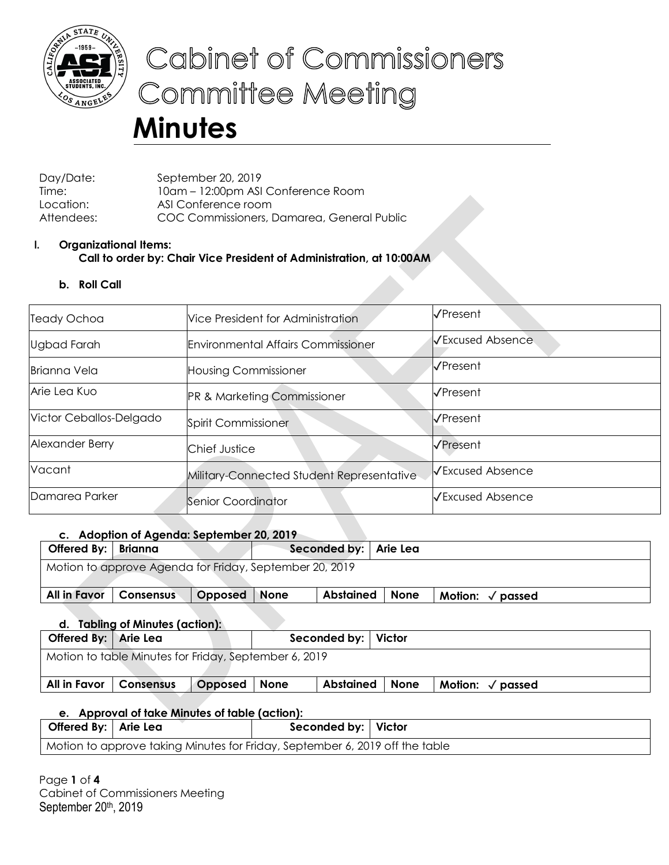

# Cabinet of Commissioners **Committee Meeting**

# **Minutes**

Day/Date: September 20, 2019 Time: 10am – 12:00pm ASI Conference Room Location: ASI Conference room Attendees: COC Commissioners, Damarea, General Public

# **I. Organizational Items: Call to order by: Chair Vice President of Administration, at 10:00AM**

**b. Roll Call**

| <b>Teady Ochoa</b>      | Vice President for Administration         | VPresent                |
|-------------------------|-------------------------------------------|-------------------------|
| Ugbad Farah             | <b>Environmental Affairs Commissioner</b> | √Excused Absence        |
| <b>Brianna Vela</b>     | <b>Housing Commissioner</b>               | VPresent                |
| Arie Lea Kuo            | <b>PR &amp; Marketing Commissioner</b>    | √Present                |
| Victor Ceballos-Delgado | Spirit Commissioner                       | <b>√Present</b>         |
| Alexander Berry         | Chief Justice                             | VPresent                |
| Vacant                  | Military-Connected Student Representative | <b>√Excused Absence</b> |
| Damarea Parker          | Senior Coordinator                        | √Excused Absence        |

# **c. Adoption of Agenda: September 20, 2019**

| Offered By: $ $ | Brianna                                                 |         |             | Seconded by:   Arie Lea |             |                            |  |  |  |  |
|-----------------|---------------------------------------------------------|---------|-------------|-------------------------|-------------|----------------------------|--|--|--|--|
|                 | Motion to approve Agenda for Friday, September 20, 2019 |         |             |                         |             |                            |  |  |  |  |
|                 |                                                         |         |             |                         |             |                            |  |  |  |  |
| All in Favor    | <b>Consensus</b>                                        | Opposed | <b>None</b> | <b>Abstained</b>        | <b>None</b> | Motion: $\sqrt{\ }$ passed |  |  |  |  |
|                 |                                                         |         |             |                         |             |                            |  |  |  |  |

| Offered By: Arie Lea |                                                       |         |             | Seconded by:   Victor |      |                          |  |
|----------------------|-------------------------------------------------------|---------|-------------|-----------------------|------|--------------------------|--|
|                      | Motion to table Minutes for Friday, September 6, 2019 |         |             |                       |      |                          |  |
| All in Favor         | <b>Consensus</b>                                      | Opposed | <b>None</b> | <b>Abstained</b>      | None | Motion: $\sqrt{}$ passed |  |

# **e. Approval of take Minutes of table (action):**

| Offered By:   Arie Lea                                                       | Seconded by:   Victor |  |
|------------------------------------------------------------------------------|-----------------------|--|
| Motion to approve taking Minutes for Friday, September 6, 2019 off the table |                       |  |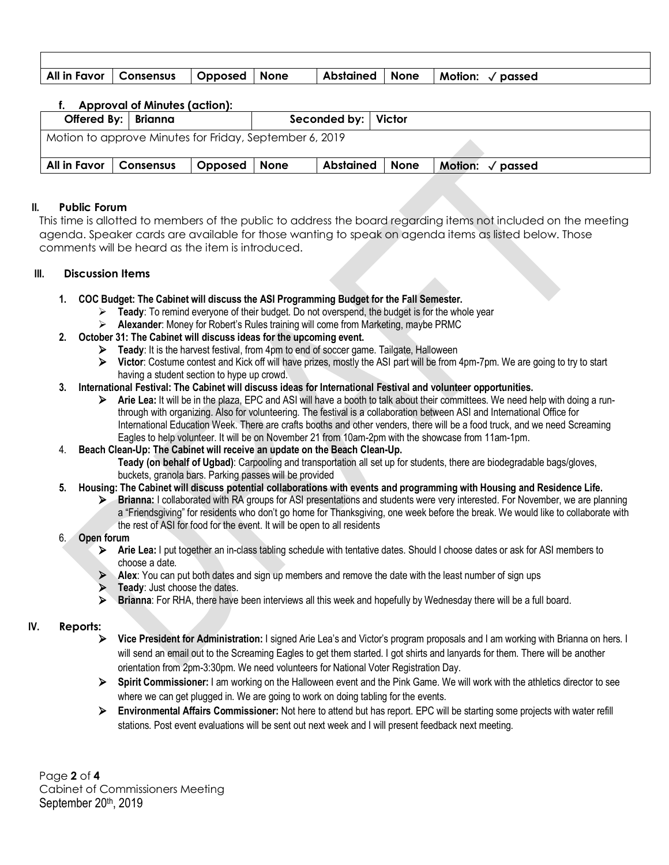| All in Favor   Consensus   Opposed   None |  | Abstained   None | Motion: $\sqrt{\,}$ passed |
|-------------------------------------------|--|------------------|----------------------------|

|              | <b>Approval of Minutes (action):</b>                    |         |             |                       |      |                                                |
|--------------|---------------------------------------------------------|---------|-------------|-----------------------|------|------------------------------------------------|
|              | Offered By:   Brianna                                   |         |             | Seconded by:   Victor |      |                                                |
|              | Motion to approve Minutes for Friday, September 6, 2019 |         |             |                       |      |                                                |
| All in Favor | <b>Consensus</b>                                        | Opposed | <b>None</b> | Abstained             | None | <b>Motion:</b><br>$\sqrt{\overline{p}}$ passed |
|              |                                                         |         |             |                       |      |                                                |

# **II. Public Forum**

This time is allotted to members of the public to address the board regarding items not included on the meeting agenda. Speaker cards are available for those wanting to speak on agenda items as listed below. Those comments will be heard as the item is introduced.

# **III. Discussion Items**

- **1. COC Budget: The Cabinet will discuss the ASI Programming Budget for the Fall Semester.**
	- **Teady**: To remind everyone of their budget. Do not overspend, the budget is for the whole year
	- **Alexander**: Money for Robert's Rules training will come from Marketing, maybe PRMC
- **2. October 31: The Cabinet will discuss ideas for the upcoming event.**
	- **Teady**: It is the harvest festival, from 4pm to end of soccer game. Tailgate, Halloween
	- **Victor**: Costume contest and Kick off will have prizes, mostly the ASI part will be from 4pm-7pm. We are going to try to start having a student section to hype up crowd.

## **3. International Festival: The Cabinet will discuss ideas for International Festival and volunteer opportunities.**

 **Arie Lea:** It will be in the plaza, EPC and ASI will have a booth to talk about their committees. We need help with doing a runthrough with organizing. Also for volunteering. The festival is a collaboration between ASI and International Office for International Education Week. There are crafts booths and other venders, there will be a food truck, and we need Screaming Eagles to help volunteer. It will be on November 21 from 10am-2pm with the showcase from 11am-1pm.

## 4. **Beach Clean-Up: The Cabinet will receive an update on the Beach Clean-Up.**

**Teady (on behalf of Ugbad)**: Carpooling and transportation all set up for students, there are biodegradable bags/gloves, buckets, granola bars. Parking passes will be provided

## **5. Housing: The Cabinet will discuss potential collaborations with events and programming with Housing and Residence Life.**

 **Brianna:** I collaborated with RA groups for ASI presentations and students were very interested. For November, we are planning a "Friendsgiving" for residents who don't go home for Thanksgiving, one week before the break. We would like to collaborate with the rest of ASI for food for the event. It will be open to all residents

## 6. **Open forum**

- **Arie Lea:** I put together an in-class tabling schedule with tentative dates. Should I choose dates or ask for ASI members to choose a date.
- Alex: You can put both dates and sign up members and remove the date with the least number of sign ups
- **Teady**: Just choose the dates.
- **Brianna**: For RHA, there have been interviews all this week and hopefully by Wednesday there will be a full board.

# **IV. Reports:**

- **Vice President for Administration:** I signed Arie Lea's and Victor's program proposals and I am working with Brianna on hers. I will send an email out to the Screaming Eagles to get them started. I got shirts and lanyards for them. There will be another orientation from 2pm-3:30pm. We need volunteers for National Voter Registration Day.
- **Spirit Commissioner:** I am working on the Halloween event and the Pink Game. We will work with the athletics director to see where we can get plugged in. We are going to work on doing tabling for the events.
- **Environmental Affairs Commissioner:** Not here to attend but has report. EPC will be starting some projects with water refill stations. Post event evaluations will be sent out next week and I will present feedback next meeting.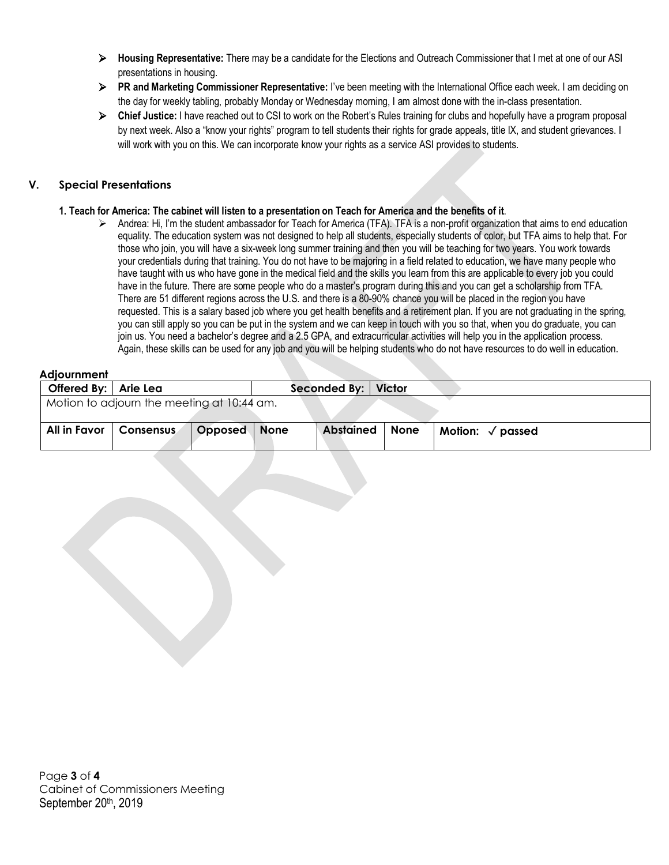- **Housing Representative:** There may be a candidate for the Elections and Outreach Commissioner that I met at one of our ASI presentations in housing.
- **PR and Marketing Commissioner Representative:** I've been meeting with the International Office each week. I am deciding on the day for weekly tabling, probably Monday or Wednesday morning, I am almost done with the in-class presentation.
- **Chief Justice:** I have reached out to CSI to work on the Robert's Rules training for clubs and hopefully have a program proposal by next week. Also a "know your rights" program to tell students their rights for grade appeals, title IX, and student grievances. I will work with you on this. We can incorporate know your rights as a service ASI provides to students.

# **V. Special Presentations**

#### **1. Teach for America: The cabinet will listen to a presentation on Teach for America and the benefits of it**.

 $\triangleright$  Andrea: Hi, I'm the student ambassador for Teach for America (TFA). TFA is a non-profit organization that aims to end education equality. The education system was not designed to help all students, especially students of color, but TFA aims to help that. For those who join, you will have a six-week long summer training and then you will be teaching for two years. You work towards your credentials during that training. You do not have to be majoring in a field related to education, we have many people who have taught with us who have gone in the medical field and the skills you learn from this are applicable to every job you could have in the future. There are some people who do a master's program during this and you can get a scholarship from TFA. There are 51 different regions across the U.S. and there is a 80-90% chance you will be placed in the region you have requested. This is a salary based job where you get health benefits and a retirement plan. If you are not graduating in the spring, you can still apply so you can be put in the system and we can keep in touch with you so that, when you do graduate, you can join us. You need a bachelor's degree and a 2.5 GPA, and extracurricular activities will help you in the application process. Again, these skills can be used for any job and you will be helping students who do not have resources to do well in education.

## **Adjournment**

| Offered By: Arie Lea |                                            |         |        | Seconded By:   Victor |      |                            |  |
|----------------------|--------------------------------------------|---------|--------|-----------------------|------|----------------------------|--|
|                      | Motion to adjourn the meeting at 10:44 am. |         |        |                       |      |                            |  |
|                      |                                            |         |        |                       |      |                            |  |
| All in Favor         | <b>Consensus</b>                           | Opposed | I None | <b>Abstained</b>      | None | Motion: $\sqrt{\ }$ passed |  |